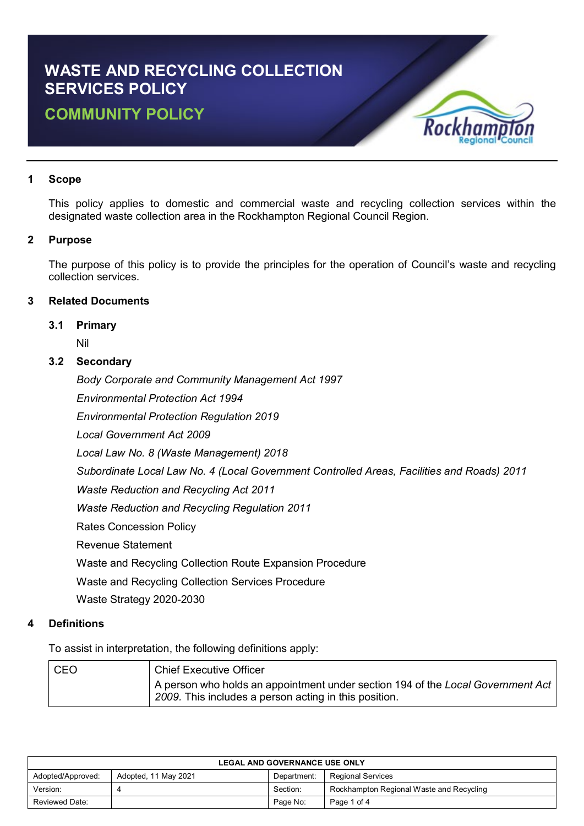# **WASTE AND RECYCLING COLLECTION SERVICES POLICY COMMUNITY POLICY**



# **1 Scope**

This policy applies to domestic and commercial waste and recycling collection services within the designated waste collection area in the Rockhampton Regional Council Region.

## **2 Purpose**

The purpose of this policy is to provide the principles for the operation of Council's waste and recycling collection services.

## **3 Related Documents**

## **3.1 Primary**

Nil

## **3.2 Secondary**

*Body Corporate and Community Management Act 1997*

*Environmental Protection Act 1994*

*Environmental Protection Regulation 2019*

*Local Government Act 2009*

*Local Law No. 8 (Waste Management) 2018*

*Subordinate Local Law No. 4 (Local Government Controlled Areas, Facilities and Roads) 2011*

*Waste Reduction and Recycling Act 2011*

*Waste Reduction and Recycling Regulation 2011*

Rates Concession Policy

Revenue Statement

Waste and Recycling Collection Route Expansion Procedure

Waste and Recycling Collection Services Procedure

Waste Strategy 2020-2030

# **4 Definitions**

To assist in interpretation, the following definitions apply:

| CEO | <b>Chief Executive Officer</b>                                                                                                                         |
|-----|--------------------------------------------------------------------------------------------------------------------------------------------------------|
|     | $\mid$ A person who holds an appointment under section 194 of the Local Government Act $\mid$<br>2009. This includes a person acting in this position. |

| <b>LEGAL AND GOVERNANCE USE ONLY</b> |                      |             |                                          |
|--------------------------------------|----------------------|-------------|------------------------------------------|
| Adopted/Approved:                    | Adopted, 11 May 2021 | Department: | <b>Regional Services</b>                 |
| Version:                             |                      | Section:    | Rockhampton Regional Waste and Recycling |
| Reviewed Date:                       |                      | Page No:    | Page 1 of 4                              |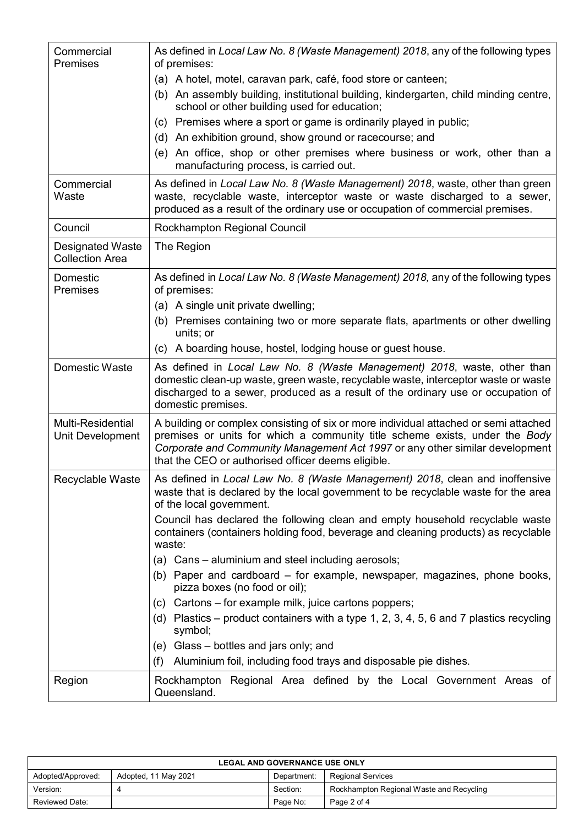| Commercial<br><b>Premises</b>                     | As defined in Local Law No. 8 (Waste Management) 2018, any of the following types<br>of premises:                                                                                                                                                                                                         |  |  |
|---------------------------------------------------|-----------------------------------------------------------------------------------------------------------------------------------------------------------------------------------------------------------------------------------------------------------------------------------------------------------|--|--|
|                                                   | (a) A hotel, motel, caravan park, café, food store or canteen;                                                                                                                                                                                                                                            |  |  |
|                                                   | An assembly building, institutional building, kindergarten, child minding centre,<br>(b)<br>school or other building used for education;                                                                                                                                                                  |  |  |
|                                                   | (c) Premises where a sport or game is ordinarily played in public;                                                                                                                                                                                                                                        |  |  |
|                                                   | (d) An exhibition ground, show ground or racecourse; and                                                                                                                                                                                                                                                  |  |  |
|                                                   | An office, shop or other premises where business or work, other than a<br>(e)<br>manufacturing process, is carried out.                                                                                                                                                                                   |  |  |
| Commercial<br>Waste                               | As defined in Local Law No. 8 (Waste Management) 2018, waste, other than green<br>waste, recyclable waste, interceptor waste or waste discharged to a sewer,<br>produced as a result of the ordinary use or occupation of commercial premises.                                                            |  |  |
| Council                                           | Rockhampton Regional Council                                                                                                                                                                                                                                                                              |  |  |
| <b>Designated Waste</b><br><b>Collection Area</b> | The Region                                                                                                                                                                                                                                                                                                |  |  |
| Domestic<br>Premises                              | As defined in Local Law No. 8 (Waste Management) 2018, any of the following types<br>of premises:                                                                                                                                                                                                         |  |  |
|                                                   | (a) A single unit private dwelling;                                                                                                                                                                                                                                                                       |  |  |
|                                                   | (b) Premises containing two or more separate flats, apartments or other dwelling<br>units; or                                                                                                                                                                                                             |  |  |
|                                                   | (c) A boarding house, hostel, lodging house or guest house.                                                                                                                                                                                                                                               |  |  |
| Domestic Waste                                    | As defined in Local Law No. 8 (Waste Management) 2018, waste, other than<br>domestic clean-up waste, green waste, recyclable waste, interceptor waste or waste<br>discharged to a sewer, produced as a result of the ordinary use or occupation of<br>domestic premises.                                  |  |  |
| Multi-Residential<br>Unit Development             | A building or complex consisting of six or more individual attached or semi attached<br>premises or units for which a community title scheme exists, under the Body<br>Corporate and Community Management Act 1997 or any other similar development<br>that the CEO or authorised officer deems eligible. |  |  |
| Recyclable Waste                                  | As defined in Local Law No. 8 (Waste Management) 2018, clean and inoffensive<br>waste that is declared by the local government to be recyclable waste for the area<br>of the local government.                                                                                                            |  |  |
|                                                   | Council has declared the following clean and empty household recyclable waste<br>containers (containers holding food, beverage and cleaning products) as recyclable<br>waste:                                                                                                                             |  |  |
|                                                   | (a) Cans – aluminium and steel including aerosols;                                                                                                                                                                                                                                                        |  |  |
|                                                   | (b) Paper and cardboard – for example, newspaper, magazines, phone books,<br>pizza boxes (no food or oil);                                                                                                                                                                                                |  |  |
|                                                   | (c) Cartons – for example milk, juice cartons poppers;                                                                                                                                                                                                                                                    |  |  |
|                                                   | (d) Plastics – product containers with a type 1, 2, 3, 4, 5, 6 and 7 plastics recycling<br>symbol;                                                                                                                                                                                                        |  |  |
|                                                   | (e) Glass – bottles and jars only; and                                                                                                                                                                                                                                                                    |  |  |
|                                                   | (f)<br>Aluminium foil, including food trays and disposable pie dishes.                                                                                                                                                                                                                                    |  |  |
| Region                                            | Rockhampton Regional Area defined by the Local Government Areas of<br>Queensland.                                                                                                                                                                                                                         |  |  |

| <b>LEGAL AND GOVERNANCE USE ONLY</b> |                      |             |                                          |  |
|--------------------------------------|----------------------|-------------|------------------------------------------|--|
| Adopted/Approved:                    | Adopted, 11 May 2021 | Department: | <b>Regional Services</b>                 |  |
| Version:                             | 4                    | Section:    | Rockhampton Regional Waste and Recycling |  |
| Reviewed Date:                       |                      | Page No:    | Page 2 of 4                              |  |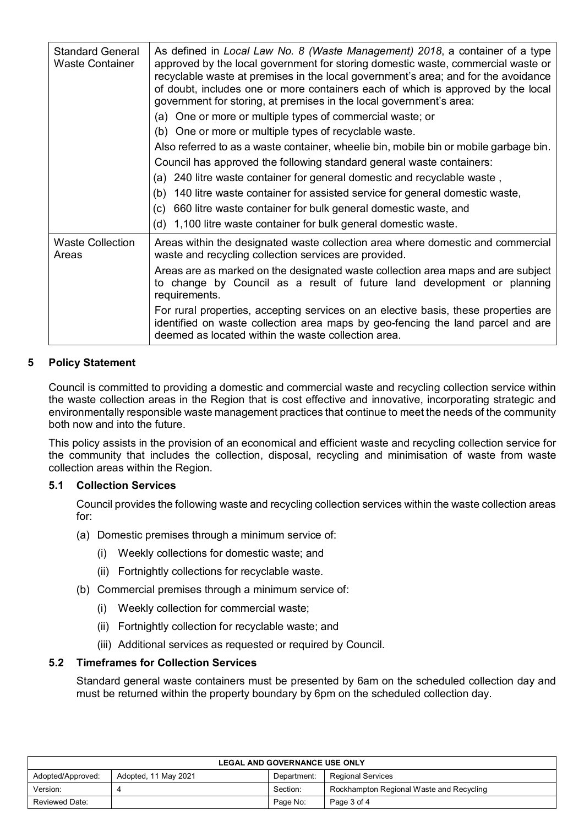| <b>Standard General</b><br><b>Waste Container</b> | As defined in Local Law No. 8 (Waste Management) 2018, a container of a type<br>approved by the local government for storing domestic waste, commercial waste or<br>recyclable waste at premises in the local government's area; and for the avoidance<br>of doubt, includes one or more containers each of which is approved by the local<br>government for storing, at premises in the local government's area:<br>(a) One or more or multiple types of commercial waste; or<br>(b) One or more or multiple types of recyclable waste.<br>Also referred to as a waste container, wheelie bin, mobile bin or mobile garbage bin.<br>Council has approved the following standard general waste containers:<br>(a) 240 litre waste container for general domestic and recyclable waste,<br>140 litre waste container for assisted service for general domestic waste,<br>(b)<br>660 litre waste container for bulk general domestic waste, and<br>(c)<br>(d) 1,100 litre waste container for bulk general domestic waste. |  |  |
|---------------------------------------------------|--------------------------------------------------------------------------------------------------------------------------------------------------------------------------------------------------------------------------------------------------------------------------------------------------------------------------------------------------------------------------------------------------------------------------------------------------------------------------------------------------------------------------------------------------------------------------------------------------------------------------------------------------------------------------------------------------------------------------------------------------------------------------------------------------------------------------------------------------------------------------------------------------------------------------------------------------------------------------------------------------------------------------|--|--|
|                                                   |                                                                                                                                                                                                                                                                                                                                                                                                                                                                                                                                                                                                                                                                                                                                                                                                                                                                                                                                                                                                                          |  |  |
| <b>Waste Collection</b><br>Areas                  | Areas within the designated waste collection area where domestic and commercial<br>waste and recycling collection services are provided.                                                                                                                                                                                                                                                                                                                                                                                                                                                                                                                                                                                                                                                                                                                                                                                                                                                                                 |  |  |
|                                                   | Areas are as marked on the designated waste collection area maps and are subject<br>to change by Council as a result of future land development or planning<br>requirements.                                                                                                                                                                                                                                                                                                                                                                                                                                                                                                                                                                                                                                                                                                                                                                                                                                             |  |  |
|                                                   | For rural properties, accepting services on an elective basis, these properties are<br>identified on waste collection area maps by geo-fencing the land parcel and are<br>deemed as located within the waste collection area.                                                                                                                                                                                                                                                                                                                                                                                                                                                                                                                                                                                                                                                                                                                                                                                            |  |  |

# **5 Policy Statement**

Council is committed to providing a domestic and commercial waste and recycling collection service within the waste collection areas in the Region that is cost effective and innovative, incorporating strategic and environmentally responsible waste management practices that continue to meet the needs of the community both now and into the future.

This policy assists in the provision of an economical and efficient waste and recycling collection service for the community that includes the collection, disposal, recycling and minimisation of waste from waste collection areas within the Region.

# **5.1 Collection Services**

Council provides the following waste and recycling collection services within the waste collection areas for:

- (a) Domestic premises through a minimum service of:
	- (i) Weekly collections for domestic waste; and
	- (ii) Fortnightly collections for recyclable waste.
- (b) Commercial premises through a minimum service of:
	- (i) Weekly collection for commercial waste;
	- (ii) Fortnightly collection for recyclable waste; and
	- (iii) Additional services as requested or required by Council.

# **5.2 Timeframes for Collection Services**

Standard general waste containers must be presented by 6am on the scheduled collection day and must be returned within the property boundary by 6pm on the scheduled collection day.

| <b>LEGAL AND GOVERNANCE USE ONLY</b> |                      |             |                                          |
|--------------------------------------|----------------------|-------------|------------------------------------------|
| Adopted/Approved:                    | Adopted, 11 May 2021 | Department: | <b>Regional Services</b>                 |
| Version:                             |                      | Section:    | Rockhampton Regional Waste and Recycling |
| Reviewed Date:                       |                      | Page No:    | Page 3 of 4                              |